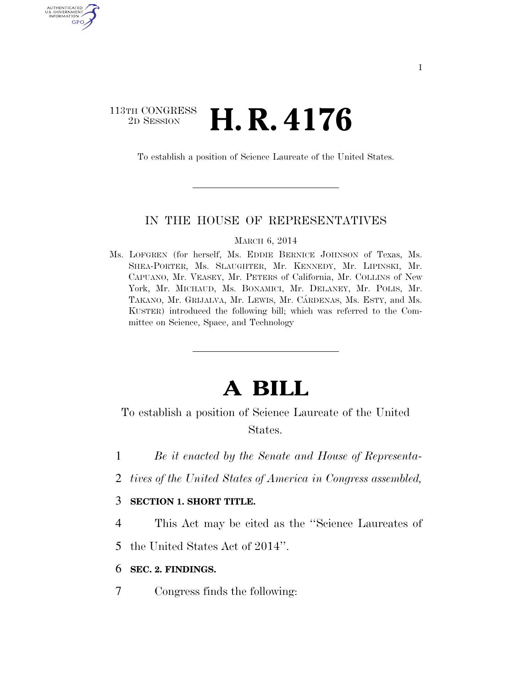### 113TH CONGRESS<br>2D SESSION 2D SESSION **H. R. 4176**

**AUTHENTIC** U.S. GOVERNMENT GPO

To establish a position of Science Laureate of the United States.

#### IN THE HOUSE OF REPRESENTATIVES

MARCH 6, 2014

Ms. LOFGREN (for herself, Ms. EDDIE BERNICE JOHNSON of Texas, Ms. SHEA-PORTER, Ms. SLAUGHTER, Mr. KENNEDY, Mr. LIPINSKI, Mr. CAPUANO, Mr. VEASEY, Mr. PETERS of California, Mr. COLLINS of New York, Mr. MICHAUD, Ms. BONAMICI, Mr. DELANEY, Mr. POLIS, Mr. TAKANO, Mr. GRIJALVA, Mr. LEWIS, Mr. CÁRDENAS, Ms. ESTY, and Ms. KUSTER) introduced the following bill; which was referred to the Committee on Science, Space, and Technology

# **A BILL**

To establish a position of Science Laureate of the United States.

- 1 *Be it enacted by the Senate and House of Representa-*
- 2 *tives of the United States of America in Congress assembled,*

### 3 **SECTION 1. SHORT TITLE.**

4 This Act may be cited as the ''Science Laureates of

5 the United States Act of 2014''.

- 6 **SEC. 2. FINDINGS.**
- 7 Congress finds the following: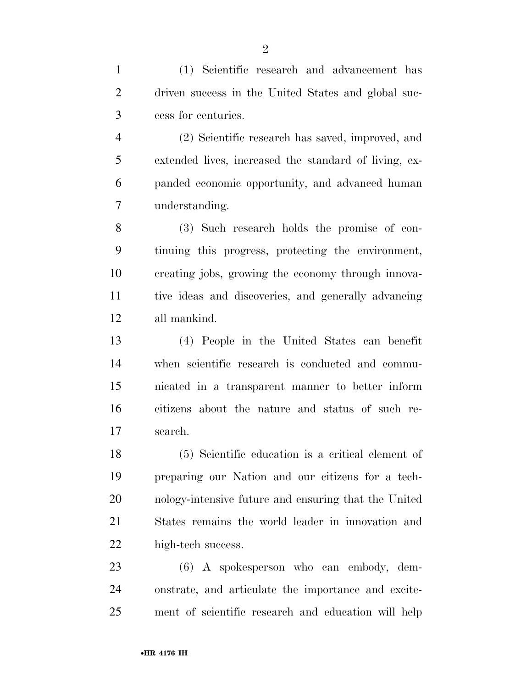(1) Scientific research and advancement has driven success in the United States and global suc-cess for centuries.

 (2) Scientific research has saved, improved, and extended lives, increased the standard of living, ex- panded economic opportunity, and advanced human understanding.

 (3) Such research holds the promise of con- tinuing this progress, protecting the environment, creating jobs, growing the economy through innova- tive ideas and discoveries, and generally advancing all mankind.

 (4) People in the United States can benefit when scientific research is conducted and commu- nicated in a transparent manner to better inform citizens about the nature and status of such re-search.

 (5) Scientific education is a critical element of preparing our Nation and our citizens for a tech- nology-intensive future and ensuring that the United States remains the world leader in innovation and high-tech success.

 (6) A spokesperson who can embody, dem- onstrate, and articulate the importance and excite-ment of scientific research and education will help

 $\mathfrak{D}$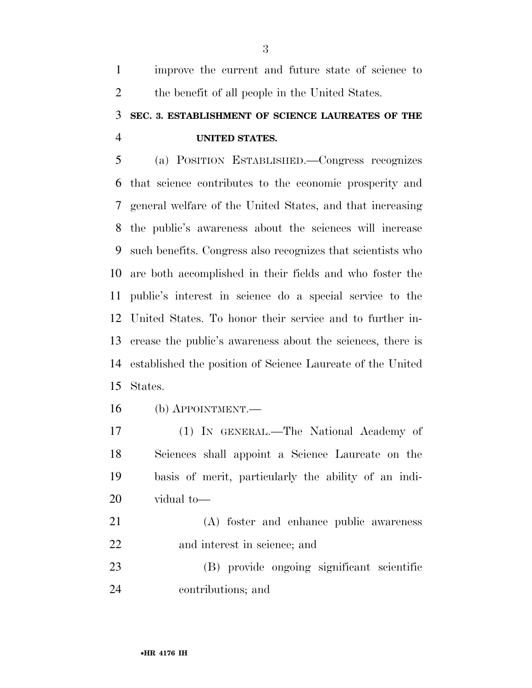improve the current and future state of science to 2 the benefit of all people in the United States.

## **SEC. 3. ESTABLISHMENT OF SCIENCE LAUREATES OF THE UNITED STATES.**

 (a) POSITION ESTABLISHED.—Congress recognizes that science contributes to the economic prosperity and general welfare of the United States, and that increasing the public's awareness about the sciences will increase such benefits. Congress also recognizes that scientists who are both accomplished in their fields and who foster the public's interest in science do a special service to the United States. To honor their service and to further in- crease the public's awareness about the sciences, there is established the position of Science Laureate of the United States.

(b) APPOINTMENT.—

 (1) IN GENERAL.—The National Academy of Sciences shall appoint a Science Laureate on the basis of merit, particularly the ability of an indi-vidual to—

 (A) foster and enhance public awareness and interest in science; and

 (B) provide ongoing significant scientific contributions; and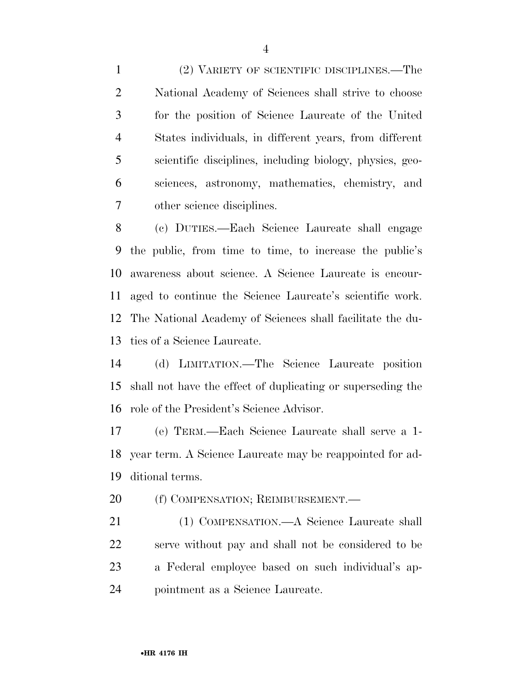(2) VARIETY OF SCIENTIFIC DISCIPLINES.—The National Academy of Sciences shall strive to choose for the position of Science Laureate of the United States individuals, in different years, from different scientific disciplines, including biology, physics, geo- sciences, astronomy, mathematics, chemistry, and other science disciplines.

 (c) DUTIES.—Each Science Laureate shall engage the public, from time to time, to increase the public's awareness about science. A Science Laureate is encour- aged to continue the Science Laureate's scientific work. The National Academy of Sciences shall facilitate the du-ties of a Science Laureate.

 (d) LIMITATION.—The Science Laureate position shall not have the effect of duplicating or superseding the role of the President's Science Advisor.

 (e) TERM.—Each Science Laureate shall serve a 1- year term. A Science Laureate may be reappointed for ad-ditional terms.

20 (f) COMPENSATION; REIMBURSEMENT.—

 (1) COMPENSATION.—A Science Laureate shall serve without pay and shall not be considered to be a Federal employee based on such individual's ap-pointment as a Science Laureate.